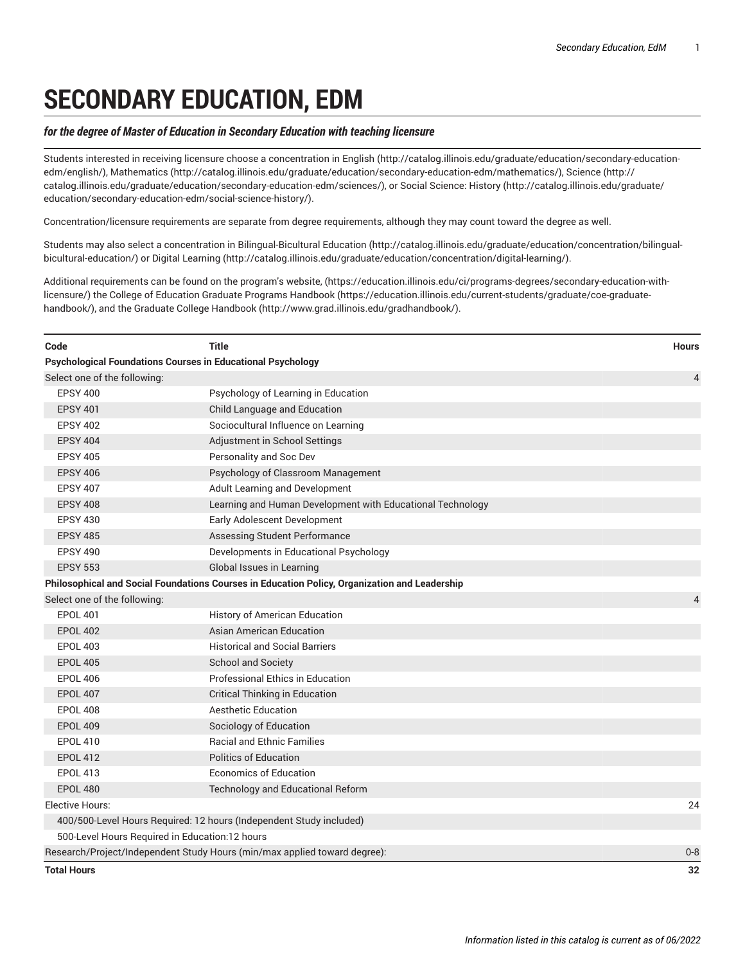## **SECONDARY EDUCATION, EDM**

## *for the degree of Master of Education in Secondary Education with teaching licensure*

Students interested in receiving licensure choose a concentration in [English](http://catalog.illinois.edu/graduate/education/secondary-education-edm/english/) ([http://catalog.illinois.edu/graduate/education/secondary-education](http://catalog.illinois.edu/graduate/education/secondary-education-edm/english/)[edm/english/](http://catalog.illinois.edu/graduate/education/secondary-education-edm/english/)), [Mathematics](http://catalog.illinois.edu/graduate/education/secondary-education-edm/mathematics/) (<http://catalog.illinois.edu/graduate/education/secondary-education-edm/mathematics/>), [Science](http://catalog.illinois.edu/graduate/education/secondary-education-edm/sciences/) ([http://](http://catalog.illinois.edu/graduate/education/secondary-education-edm/sciences/) [catalog.illinois.edu/graduate/education/secondary-education-edm/sciences/\)](http://catalog.illinois.edu/graduate/education/secondary-education-edm/sciences/), or Social [Science:](http://catalog.illinois.edu/graduate/education/secondary-education-edm/social-science-history/) History [\(http://catalog.illinois.edu/graduate/](http://catalog.illinois.edu/graduate/education/secondary-education-edm/social-science-history/) [education/secondary-education-edm/social-science-history/](http://catalog.illinois.edu/graduate/education/secondary-education-edm/social-science-history/)).

Concentration/licensure requirements are separate from degree requirements, although they may count toward the degree as well.

Students may also select a concentration in [Bilingual-Bicultural](http://catalog.illinois.edu/graduate/education/concentration/bilingual-bicultural-education/) Education [\(http://catalog.illinois.edu/graduate/education/concentration/bilingual](http://catalog.illinois.edu/graduate/education/concentration/bilingual-bicultural-education/)[bicultural-education/](http://catalog.illinois.edu/graduate/education/concentration/bilingual-bicultural-education/)) or [Digital Learning](http://catalog.illinois.edu/graduate/education/concentration/digital-learning/) (<http://catalog.illinois.edu/graduate/education/concentration/digital-learning/>).

Additional requirements can be found on the [program's](https://education.illinois.edu/ci/programs-degrees/secondary-education-with-licensure/) website, ([https://education.illinois.edu/ci/programs-degrees/secondary-education-with](https://education.illinois.edu/ci/programs-degrees/secondary-education-with-licensure/)[licensure/\)](https://education.illinois.edu/ci/programs-degrees/secondary-education-with-licensure/) the College of Education Graduate Programs [Handbook](https://education.illinois.edu/current-students/graduate/coe-graduate-handbook/) ([https://education.illinois.edu/current-students/graduate/coe-graduate](https://education.illinois.edu/current-students/graduate/coe-graduate-handbook/)[handbook/](https://education.illinois.edu/current-students/graduate/coe-graduate-handbook/)), and the [Graduate College Handbook \(http://www.grad.illinois.edu/gradhandbook/](http://www.grad.illinois.edu/gradhandbook/)).

| Code                                           | <b>Title</b>                                                                                  | <b>Hours</b>   |
|------------------------------------------------|-----------------------------------------------------------------------------------------------|----------------|
|                                                | <b>Psychological Foundations Courses in Educational Psychology</b>                            |                |
| Select one of the following:                   |                                                                                               | $\overline{4}$ |
| <b>EPSY 400</b>                                | Psychology of Learning in Education                                                           |                |
| <b>EPSY 401</b>                                | Child Language and Education                                                                  |                |
| <b>EPSY 402</b>                                | Sociocultural Influence on Learning                                                           |                |
| <b>EPSY 404</b>                                | Adjustment in School Settings                                                                 |                |
| <b>EPSY 405</b>                                | Personality and Soc Dev                                                                       |                |
| <b>EPSY 406</b>                                | Psychology of Classroom Management                                                            |                |
| <b>EPSY 407</b>                                | Adult Learning and Development                                                                |                |
| <b>EPSY 408</b>                                | Learning and Human Development with Educational Technology                                    |                |
| <b>EPSY 430</b>                                | Early Adolescent Development                                                                  |                |
| <b>EPSY 485</b>                                | Assessing Student Performance                                                                 |                |
| <b>EPSY 490</b>                                | Developments in Educational Psychology                                                        |                |
| <b>EPSY 553</b>                                | Global Issues in Learning                                                                     |                |
|                                                | Philosophical and Social Foundations Courses in Education Policy, Organization and Leadership |                |
| Select one of the following:                   |                                                                                               | $\overline{4}$ |
| <b>EPOL 401</b>                                | History of American Education                                                                 |                |
| <b>EPOL 402</b>                                | <b>Asian American Education</b>                                                               |                |
| <b>EPOL 403</b>                                | <b>Historical and Social Barriers</b>                                                         |                |
| <b>EPOL 405</b>                                | School and Society                                                                            |                |
| <b>EPOL 406</b>                                | <b>Professional Ethics in Education</b>                                                       |                |
| <b>EPOL 407</b>                                | <b>Critical Thinking in Education</b>                                                         |                |
| <b>EPOL 408</b>                                | <b>Aesthetic Education</b>                                                                    |                |
| <b>EPOL 409</b>                                | Sociology of Education                                                                        |                |
| <b>EPOL 410</b>                                | <b>Racial and Ethnic Families</b>                                                             |                |
| <b>EPOL 412</b>                                | <b>Politics of Education</b>                                                                  |                |
| <b>EPOL 413</b>                                | <b>Economics of Education</b>                                                                 |                |
| <b>EPOL 480</b>                                | <b>Technology and Educational Reform</b>                                                      |                |
| Elective Hours:                                |                                                                                               | 24             |
|                                                | 400/500-Level Hours Required: 12 hours (Independent Study included)                           |                |
| 500-Level Hours Required in Education:12 hours |                                                                                               |                |
|                                                | Research/Project/Independent Study Hours (min/max applied toward degree):                     | $0 - 8$        |
| <b>Total Hours</b>                             |                                                                                               | 32             |